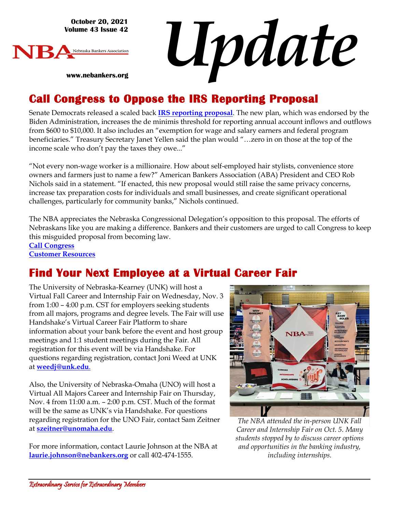**October 20, 2021 Volume 43 Issue 42**

**www.nebankers.org**



*Update*

## **Call Congress to Oppose the IRS Reporting Proposal**

Senate Democrats released a scaled back **[IRS reporting proposal](https://home.treasury.gov/news/press-releases/jy0415)**. The new plan, which was endorsed by the Biden Administration, increases the de minimis threshold for reporting annual account inflows and outflows from \$600 to \$10,000. It also includes an "exemption for wage and salary earners and federal program beneficiaries." Treasury Secretary Janet Yellen said the plan would "…zero in on those at the top of the income scale who don't pay the taxes they owe..."

"Not every non-wage worker is a millionaire. How about self-employed hair stylists, convenience store owners and farmers just to name a few?" American Bankers Association (ABA) President and CEO Rob Nichols said in a statement. "If enacted, this new proposal would still raise the same privacy concerns, increase tax preparation costs for individuals and small businesses, and create significant operational challenges, particularly for community banks," Nichols continued.

The NBA appreciates the Nebraska Congressional Delegation's opposition to this proposal. The efforts of Nebraskans like you are making a difference. Bankers and their customers are urged to call Congress to keep this misguided proposal from becoming law.

**[Call Congress](https://secureamericanopportunity.com/take-action/call-congress-now-oppose-new-irs-reporting-requirements/) [Customer Resources](https://secureamericanopportunity.com/irs-proposal-resources/)**

# **Find Your Next Employee at a Virtual Career Fair**

The University of Nebraska-Kearney (UNK) will host a Virtual Fall Career and Internship Fair on Wednesday, Nov. 3 from 1:00 – 4:00 p.m. CST for employers seeking students from all majors, programs and degree levels. The Fair will use Handshake's Virtual Career Fair Platform to share information about your bank before the event and host group meetings and 1:1 student meetings during the Fair. All [registration](https://app.joinhandshake.com/career_fairs/25128) for this event will be via Handshake. For questions regarding registration, contact Joni Weed at UNK at **[weedj@unk.edu](mailto:weedj@unk.edu)**[.](mailto:weedj@unk.edu)

Also, the University of Nebraska-Omaha (UNO) will host a Virtual All Majors Career and Internship Fair on Thursday, Nov. 4 from 11:00 a.m. – 2:00 p.m. CST. Much of the format will be the same as UNK's via Handshake. For questions regarding [registration](https://unl.joinhandshake.com/career_fairs/26838) for the UNO Fair, contact Sam Zeitner at **[szeitner@unomaha.edu](mailto:szeitner@unomaha.edu)**.

For more information, contact Laurie Johnson at the NBA at **[laurie.johnson@nebankers.org](mailto:laurie.johnson@nebankers.org)** or call 402-474-1555.



*The NBA attended the in-person UNK Fall Career and Internship Fair on Oct. 5. Many students stopped by to discuss career options and opportunities in the banking industry, including internships.*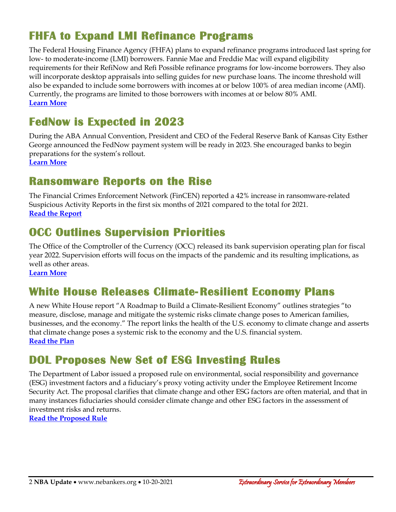# **FHFA to Expand LMI Refinance Programs**

The Federal Housing Finance Agency (FHFA) plans to expand refinance programs introduced last spring for low- to moderate-income (LMI) borrowers. Fannie Mae and Freddie Mac will expand eligibility requirements for their RefiNow and Refi Possible refinance programs for low-income borrowers. They also will incorporate desktop appraisals into selling guides for new purchase loans. The income threshold will also be expanded to include some borrowers with incomes at or below 100% of area median income (AMI). Currently, the programs are limited to those borrowers with incomes at or below 80% AMI. **[Learn More](https://www.fhfa.gov/Media/PublicAffairs/Pages/FHFA-Announces-Two-Measures-Advancing-Housing-Sustainability-and-Affordability.aspx)**

## **FedNow is Expected in 2023**

During the ABA Annual Convention, President and CEO of the Federal Reserve Bank of Kansas City Esther George announced the FedNow payment system will be ready in 2023. She encouraged banks to begin preparations for the system's rollout.

**[Learn More](https://bankingjournal.aba.com/2021/10/kansas-city-feds-george-says-fednow-to-be-ready-in-2023/)**

#### **Ransomware Reports on the Rise**

The Financial Crimes Enforcement Network (FinCEN) reported a 42% increase in ransomware-related Suspicious Activity Reports in the first six months of 2021 compared to the total for 2020. **[Read the Report](https://www.fincen.gov/sites/default/files/2021-10/Financial%20Trend%20Analysis_Ransomware%20508%20FINAL.pdf)**

## **OCC Outlines Supervision Priorities**

The Office of the Comptroller of the Currency (OCC) released its bank supervision operating plan for fiscal year 2022. Supervision efforts will focus on the impacts of the pandemic and its resulting implications, as well as other areas.

**[Learn More](https://www.occ.gov/news-issuances/news-releases/2021/nr-occ-2021-106.html)**

## **White House Releases Climate-Resilient Economy Plans**

A new White House report "A Roadmap to Build a Climate-Resilient Economy" outlines strategies "to measure, disclose, manage and mitigate the systemic risks climate change poses to American families, businesses, and the economy." The report links the health of the U.S. economy to climate change and asserts that climate change poses a systemic risk to the economy and the U.S. financial system. **[Read the Plan](https://www.whitehouse.gov/briefing-room/statements-releases/2021/10/15/fact-sheet-biden-administration-roadmap-to-build-an-economy-resilient-to-climate-change-impacts/)**

## **DOL Proposes New Set of ESG Investing Rules**

The Department of Labor issued a proposed rule on environmental, social responsibility and governance (ESG) investment factors and a fiduciary's proxy voting activity under the Employee Retirement Income Security Act. The proposal clarifies that climate change and other ESG factors are often material, and that in many instances fiduciaries should consider climate change and other ESG factors in the assessment of investment risks and returns.

**[Read the Proposed Rule](https://www.federalregister.gov/documents/2021/10/14/2021-22263/prudence-and-loyalty-in-selecting-plan-investments-and-exercising-shareholder-rights)**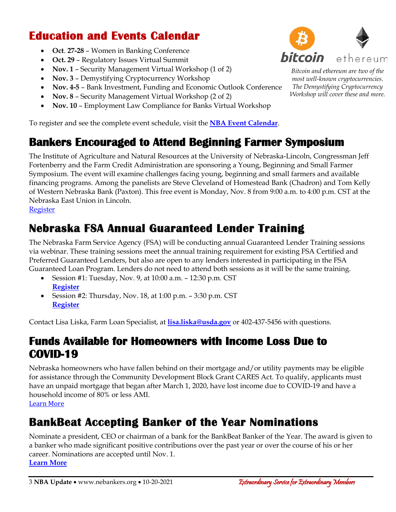## **Education and Events Calendar**

- **Oct**. **27-28** Women in Banking Conference
- **Oct. 29** Regulatory Issues Virtual Summit
- **Nov. 1** Security Management Virtual Workshop (1 of 2)
- **Nov. 3** Demystifying Cryptocurrency Workshop
- **Nov. 4-5** Bank Investment, Funding and Economic Outlook Conference
- **Nov. 8** Security Management Virtual Workshop (2 of 2)
- **Nov. 10** Employment Law Compliance for Banks Virtual Workshop

To register and see the complete event schedule, visit the **[NBA Event Calendar](https://web.nebankers.org/events)**.

#### **Bankers Encouraged to Attend Beginning Farmer Symposium**

The Institute of Agriculture and Natural Resources at the University of Nebraska-Lincoln, Congressman Jeff Fortenberry and the Farm Credit Administration are sponsoring a Young, Beginning and Small Farmer Symposium. The event will examine challenges facing young, beginning and small farmers and available financing programs. Among the panelists are Steve Cleveland of Homestead Bank (Chadron) and Tom Kelly of Western Nebraska Bank (Paxton). This free event is Monday, Nov. 8 from 9:00 a.m. to 4:00 p.m. CST at the Nebraska East Union in Lincoln.

#### **[Register](https://ianr.unl.edu/young-beginner-and-small-farmer-symposium)**

## **Nebraska FSA Annual Guaranteed Lender Training**

The Nebraska Farm Service Agency (FSA) will be conducting annual Guaranteed Lender Training sessions via webinar. These training sessions meet the annual training requirement for existing FSA Certified and Preferred Guaranteed Lenders, but also are open to any lenders interested in participating in the FSA Guaranteed Loan Program. Lenders do not need to attend both sessions as it will be the same training.

- Session #1: Tuesday, Nov. 9, at 10:00 a.m. 12:30 p.m. CST **[Register](https://globalmeetwebinar.webcasts.com/starthere.jsp?ei=1498837&tp_key=c9784a9cfc)**
- Session #2: Thursday, Nov. 18, at  $1:00$  p.m.  $-3:30$  p.m. CST **[Register](https://globalmeetwebinar.webcasts.com/starthere.jsp?ei=1498840&tp_key=19ef119f3d)**

Contact Lisa Liska, Farm Loan Specialist, at **[lisa.liska@usda.gov](mailto:lisa.liska@usda.gov)** or 402-437-5456 with questions.

#### **Funds Available for Homeowners with Income Loss Due to COVID-19**

Nebraska homeowners who have fallen behind on their mortgage and/or utility payments may be eligible for assistance through the Community Development Block Grant CARES Act. To qualify, applicants must have an unpaid mortgage that began after March 1, 2020, have lost income due to COVID-19 and have a household income of 80% or less AMI.

#### **[Learn More](https://www.heartlandcounselingservices.org/our-services/housing-assistance-common-fund-program.html)**

## **BankBeat Accepting Banker of the Year Nominations**

Nominate a president, CEO or chairman of a bank for the BankBeat Banker of the Year. The award is given to a banker who made significant positive contributions over the past year or over the course of his or her career. Nominations are accepted until Nov. 1.

**[Learn More](https://bankbeat.biz/nominate-a-banker/banker-of-the-year/)**



*Workshop will cover these and more.*